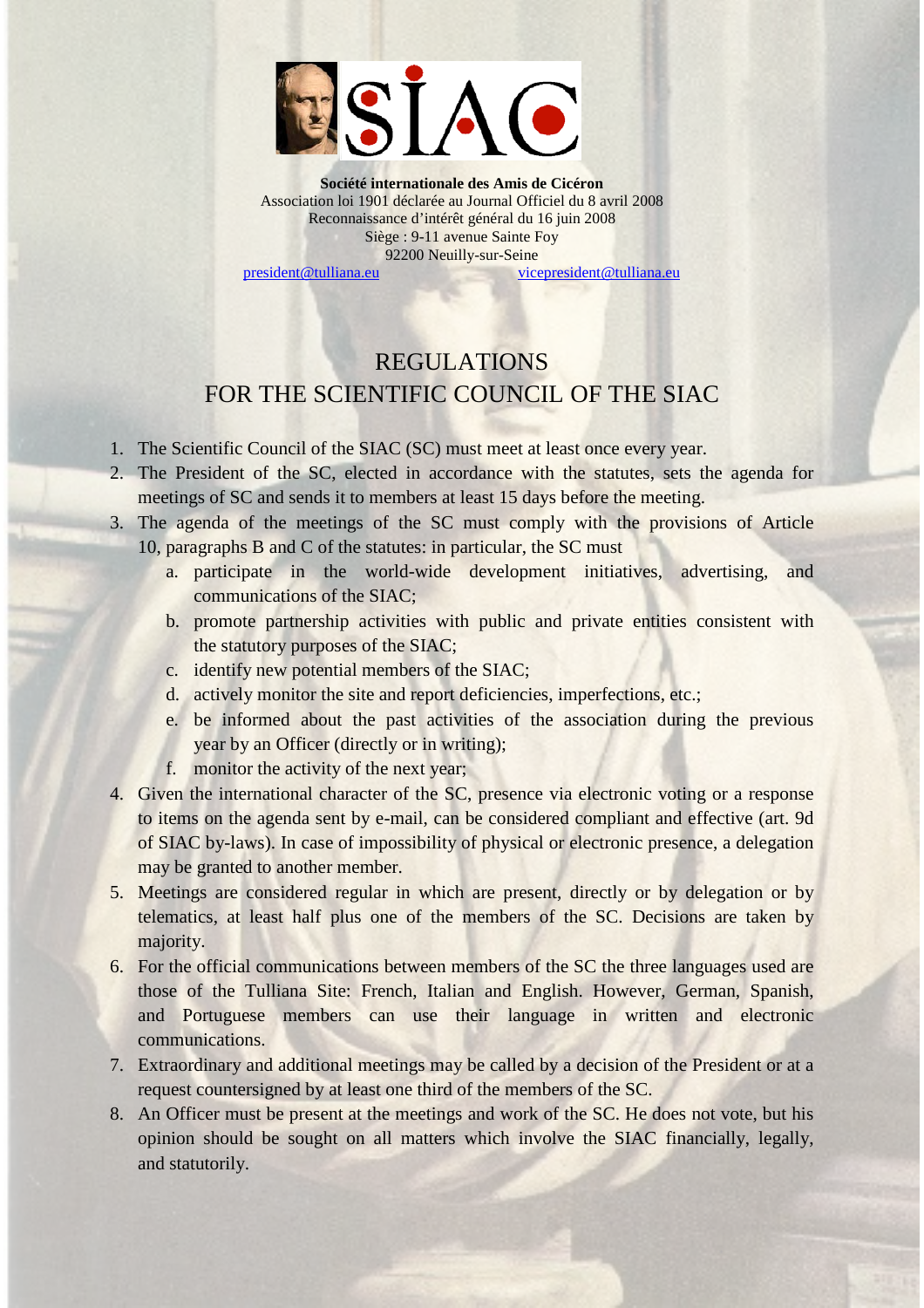

**Société internationale des Amis de Cicéron** Association loi 1901 déclarée au Journal Officiel du 8 avril 2008 Reconnaissance d'intérêt général du 16 juin 2008 Siège : 9-11 avenue Sainte Foy 92200 Neuilly-sur-Seine [president@tulliana.eu](mailto:president@tulliana.eu) [vicepresident@tulliana.eu](mailto:vicepresident@tulliana.eu)

## REGULATIONS FOR THE SCIENTIFIC COUNCIL OF THE SIAC

- 1. The Scientific Council of the SIAC (SC) must meet at least once every year.
- 2. The President of the SC, elected in accordance with the statutes, sets the agenda for meetings of SC and sends it to members at least 15 days before the meeting.
- 3. The agenda of the meetings of the SC must comply with the provisions of Article 10, paragraphs B and C of the statutes: in particular, the SC must
	- a. participate in the world-wide development initiatives, advertising, and communications of the SIAC;
	- b. promote partnership activities with public and private entities consistent with the statutory purposes of the SIAC;
	- c. identify new potential members of the SIAC;
	- d. actively monitor the site and report deficiencies, imperfections, etc.;
	- e. be informed about the past activities of the association during the previous year by an Officer (directly or in writing);
	- f. monitor the activity of the next year;
- 4. Given the international character of the SC, presence via electronic voting or a response to items on the agenda sent by e-mail, can be considered compliant and effective (art. 9d of SIAC by-laws). In case of impossibility of physical or electronic presence, a delegation may be granted to another member.
- 5. Meetings are considered regular in which are present, directly or by delegation or by telematics, at least half plus one of the members of the SC. Decisions are taken by majority.
- 6. For the official communications between members of the SC the three languages used are those of the Tulliana Site: French, Italian and English. However, German, Spanish, and Portuguese members can use their language in written and electronic communications.
- 7. Extraordinary and additional meetings may be called by a decision of the President or at a request countersigned by at least one third of the members of the SC.
- 8. An Officer must be present at the meetings and work of the SC. He does not vote, but his opinion should be sought on all matters which involve the SIAC financially, legally, and statutorily.